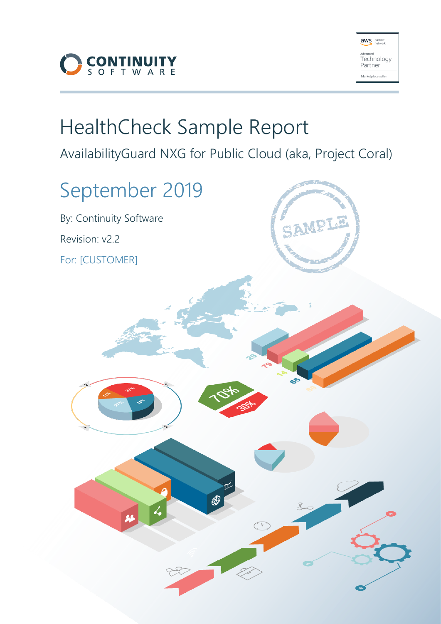



# HealthCheck Sample Report

AvailabilityGuard NXG for Public Cloud (aka, Project Coral)

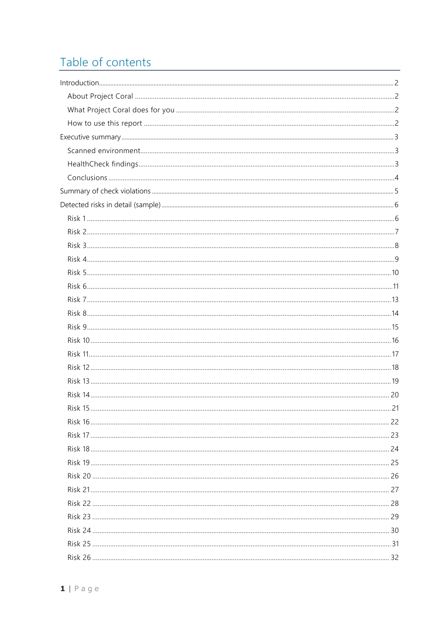# Table of contents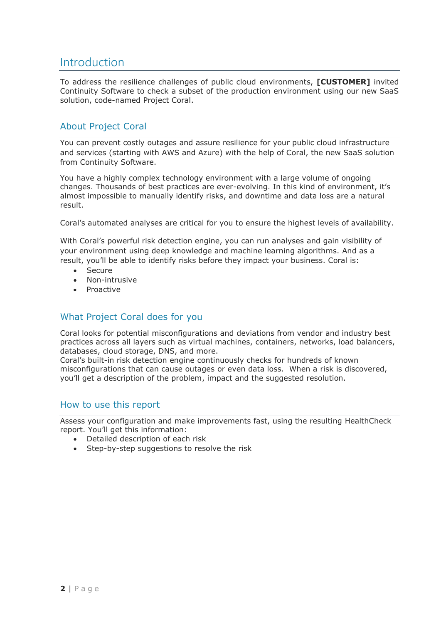## <span id="page-2-0"></span>Introduction

To address the resilience challenges of public cloud environments, **[CUSTOMER]** invited Continuity Software to check a subset of the production environment using our new SaaS solution, code-named Project Coral.

## <span id="page-2-1"></span>About Project Coral

You can prevent costly outages and assure resilience for your public cloud infrastructure and services (starting with AWS and Azure) with the help of Coral, the new SaaS solution from Continuity Software.

You have a highly complex technology environment with a large volume of ongoing changes. Thousands of best practices are ever-evolving. In this kind of environment, it's almost impossible to manually identify risks, and downtime and data loss are a natural result.

Coral's automated analyses are critical for you to ensure the highest levels of availability.

With Coral's powerful risk detection engine, you can run analyses and gain visibility of your environment using deep knowledge and machine learning algorithms. And as a result, you'll be able to identify risks before they impact your business. Coral is:

- Secure
- Non-intrusive
- Proactive

## <span id="page-2-2"></span>What Project Coral does for you

Coral looks for potential misconfigurations and deviations from vendor and industry best practices across all layers such as virtual machines, containers, networks, load balancers, databases, cloud storage, DNS, and more.

Coral's built-in risk detection engine continuously checks for hundreds of known misconfigurations that can cause outages or even data loss. When a risk is discovered, you'll get a description of the problem, impact and the suggested resolution.

#### <span id="page-2-3"></span>How to use this report

Assess your configuration and make improvements fast, using the resulting HealthCheck report. You'll get this information:

- Detailed description of each risk
- Step-by-step suggestions to resolve the risk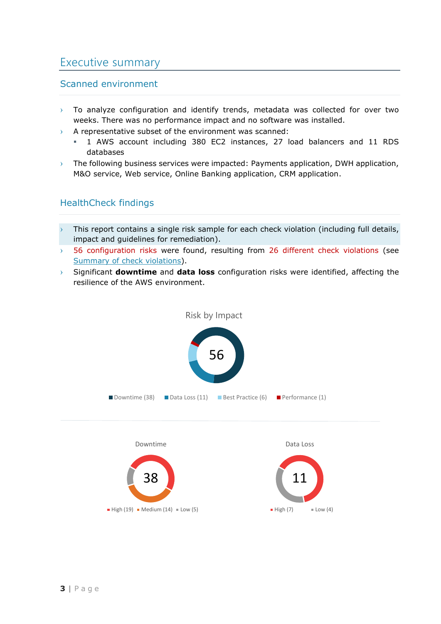## <span id="page-3-0"></span>Executive summary

## <span id="page-3-1"></span>Scanned environment

- $\rightarrow$  To analyze configuration and identify trends, metadata was collected for over two weeks. There was no performance impact and no software was installed.
- $\rightarrow$  A representative subset of the environment was scanned:
	- 1 AWS account including 380 EC2 instances, 27 load balancers and 11 RDS databases
- $\rightarrow$  The following business services were impacted: Payments application, DWH application, M&O service, Web service, Online Banking application, CRM application.

## <span id="page-3-2"></span>HealthCheck findings

- This report contains a single risk sample for each check violation (including full details, impact and guidelines for remediation).
- › 56 configuration risks were found, resulting from 26 different check violations (see [Summary of check violations](#page-5-0)).
- › Significant **downtime** and **data loss** configuration risks were identified, affecting the resilience of the AWS environment.

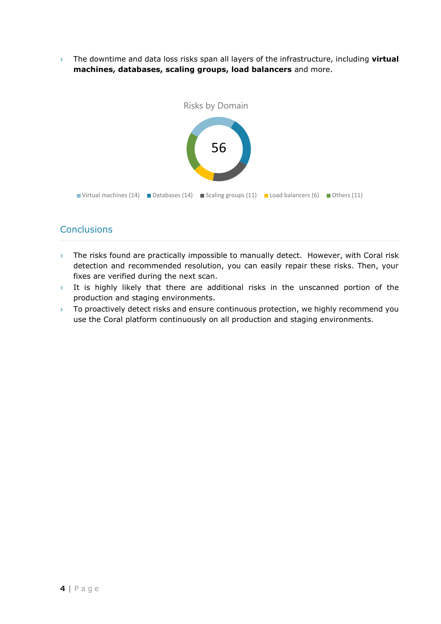› The downtime and data loss risks span all layers of the infrastructure, including **virtual machines, databases, scaling groups, load balancers** and more.



## <span id="page-4-0"></span>**Conclusions**

- $\rightarrow$  The risks found are practically impossible to manually detect. However, with Coral risk detection and recommended resolution, you can easily repair these risks. Then, your fixes are verified during the next scan.
- $\rightarrow$  It is highly likely that there are additional risks in the unscanned portion of the production and staging environments.
- $\rightarrow$  To proactively detect risks and ensure continuous protection, we highly recommend you use the Coral platform continuously on all production and staging environments.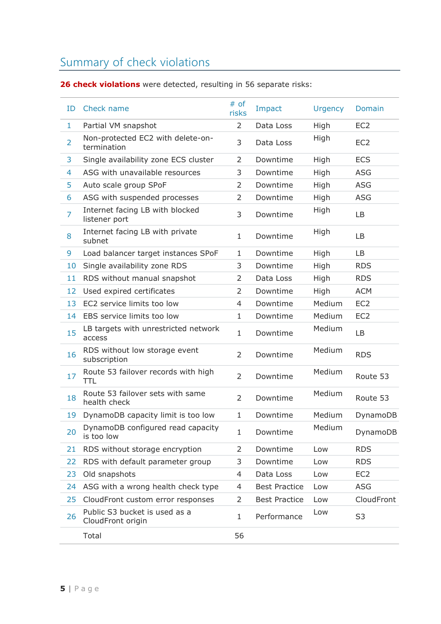# <span id="page-5-0"></span>Summary of check violations

**26 check violations** were detected, resulting in 56 separate risks:

<span id="page-5-1"></span>

| ID             | Check name                                         | # of<br>risks  | Impact               | <b>Urgency</b> | Domain          |
|----------------|----------------------------------------------------|----------------|----------------------|----------------|-----------------|
| $\mathbf{1}$   | Partial VM snapshot                                | $\overline{2}$ | Data Loss            | High           | EC <sub>2</sub> |
| $\overline{2}$ | Non-protected EC2 with delete-on-<br>termination   | 3              | Data Loss            | High           | EC <sub>2</sub> |
| 3              | Single availability zone ECS cluster               | 2              | Downtime             | High           | <b>ECS</b>      |
| 4              | ASG with unavailable resources                     | 3              | Downtime             | High           | <b>ASG</b>      |
| 5              | Auto scale group SPoF                              | 2              | Downtime             | High           | <b>ASG</b>      |
| 6              | ASG with suspended processes                       | 2              | Downtime             | High           | <b>ASG</b>      |
| $\overline{7}$ | Internet facing LB with blocked<br>listener port   | 3              | Downtime             | High           | LB              |
| 8              | Internet facing LB with private<br>subnet          | $\mathbf{1}$   | Downtime             | High           | LB              |
| 9              | Load balancer target instances SPoF                | 1              | Downtime             | High           | LB              |
| 10             | Single availability zone RDS                       | 3              | Downtime             | High           | <b>RDS</b>      |
| 11             | RDS without manual snapshot                        | 2              | Data Loss            | High           | <b>RDS</b>      |
| 12             | Used expired certificates                          | $\overline{2}$ | Downtime             | High           | <b>ACM</b>      |
| 13             | EC2 service limits too low                         | 4              | Downtime             | Medium         | EC <sub>2</sub> |
| 14             | EBS service limits too low                         | 1              | Downtime             | Medium         | EC <sub>2</sub> |
| 15             | LB targets with unrestricted network<br>access     | $\mathbf 1$    | Downtime             | Medium         | LB              |
| 16             | RDS without low storage event<br>subscription      | $\overline{2}$ | Downtime             | Medium         | <b>RDS</b>      |
| 17             | Route 53 failover records with high<br>TTL         | $\overline{2}$ | Downtime             | Medium         | Route 53        |
| 18             | Route 53 failover sets with same<br>health check   | $\overline{2}$ | Downtime             | Medium         | Route 53        |
| 19             | DynamoDB capacity limit is too low                 | 1              | Downtime             | Medium         | DynamoDB        |
| 20             | DynamoDB configured read capacity<br>is too low    | 1              | Downtime             | Medium         | DynamoDB        |
| 21             | RDS without storage encryption                     | 2              | Downtime             | Low            | <b>RDS</b>      |
| 22             | RDS with default parameter group                   | 3              | Downtime             | Low            | <b>RDS</b>      |
| 23             | Old snapshots                                      | 4              | Data Loss            | Low            | EC <sub>2</sub> |
| 24             | ASG with a wrong health check type                 | 4              | <b>Best Practice</b> | Low            | ASG             |
| 25             | CloudFront custom error responses                  | 2              | <b>Best Practice</b> | Low            | CloudFront      |
| 26             | Public S3 bucket is used as a<br>CloudFront origin | 1              | Performance          | Low            | S3              |
|                | Total                                              | 56             |                      |                |                 |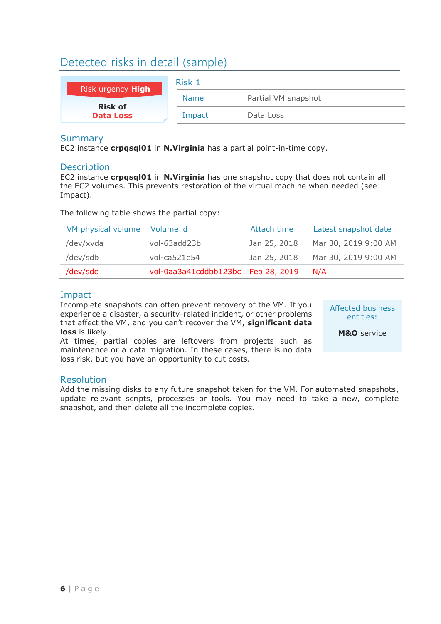# Detected risks in detail (sample)

<span id="page-6-0"></span>

| Risk urgency High | Risk 1      |                     |  |
|-------------------|-------------|---------------------|--|
| <b>Risk of</b>    | <b>Name</b> | Partial VM snapshot |  |
| <b>Data Loss</b>  | Impact      | Data Loss           |  |

## **Summary**

EC2 instance **crpqsql01** in **N.Virginia** has a partial point-in-time copy.

## **Description**

EC2 instance **crpqsql01** in **N.Virginia** has one snapshot copy that does not contain all the EC2 volumes. This prevents restoration of the virtual machine when needed (see Impact).

The following table shows the partial copy:

| VM physical volume Volume id |                                    | Attach time  | Latest snapshot date |
|------------------------------|------------------------------------|--------------|----------------------|
| /dev/xvda                    | vol-63add23b                       | Jan 25, 2018 | Mar 30, 2019 9:00 AM |
| /dev/sdb                     | $vol-ca521e54$                     | Jan 25, 2018 | Mar 30, 2019 9:00 AM |
| /dev/sdc                     | vol-0aa3a41cddbb123bc Feb 28, 2019 |              | N/A                  |

## Impact

Incomplete snapshots can often prevent recovery of the VM. If you experience a disaster, a security-related incident, or other problems that affect the VM, and you can't recover the VM, **significant data loss** is likely.

At times, partial copies are leftovers from projects such as maintenance or a data migration. In these cases, there is no data loss risk, but you have an opportunity to cut costs.

Affected business entities:

**M&O** service

## Resolution

Add the missing disks to any future snapshot taken for the VM. For automated snapshots, update relevant scripts, processes or tools. You may need to take a new, complete snapshot, and then delete all the incomplete copies.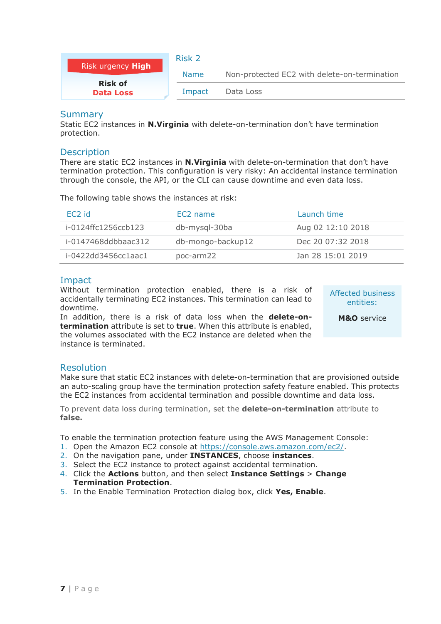<span id="page-7-0"></span>

| Risk urgency High                  | Risk 2      |                                              |
|------------------------------------|-------------|----------------------------------------------|
|                                    | <b>Name</b> | Non-protected EC2 with delete-on-termination |
| <b>Risk of</b><br><b>Data Loss</b> | Impact      | Data Loss                                    |

Static EC2 instances in **N.Virginia** with delete-on-termination don't have termination protection.

#### **Description**

There are static EC2 instances in **N.Virginia** with delete-on-termination that don't have termination protection. This configuration is very risky: An accidental instance termination through the console, the API, or the CLI can cause downtime and even data loss.

The following table shows the instances at risk:

| EC <sub>2</sub> id  | EC <sub>2</sub> name | Launch time       |
|---------------------|----------------------|-------------------|
| i-0124ffc1256ccb123 | db-mysql-30ba        | Aug 02 12:10 2018 |
| i-0147468ddbbaac312 | db-mongo-backup12    | Dec 20 07:32 2018 |
| i-0422dd3456cc1aac1 | poc-arm22            | Jan 28 15:01 2019 |

## Impact

Without termination protection enabled, there is a risk of accidentally terminating EC2 instances. This termination can lead to downtime.

In addition, there is a risk of data loss when the **delete-ontermination** attribute is set to **true**. When this attribute is enabled, the volumes associated with the EC2 instance are deleted when the instance is terminated.

Affected business entities:

**M&O** service

## Resolution

Make sure that static EC2 instances with delete-on-termination that are provisioned outside an auto-scaling group have the termination protection safety feature enabled. This protects the EC2 instances from accidental termination and possible downtime and data loss.

To prevent data loss during termination, set the **delete-on-termination** attribute to **false.**

To enable the termination protection feature using the AWS Management Console:

- 1. Open the Amazon EC2 console at [https://console.aws.amazon.com/ec2/.](https://console.aws.amazon.com/ec2/)
- 2. On the navigation pane, under **INSTANCES**, choose **instances**.
- 3. Select the EC2 instance to protect against accidental termination.
- 4. Click the **Actions** button, and then select **Instance Settings** > **Change Termination Protection**.
- 5. In the Enable Termination Protection dialog box, click **Yes, Enable**.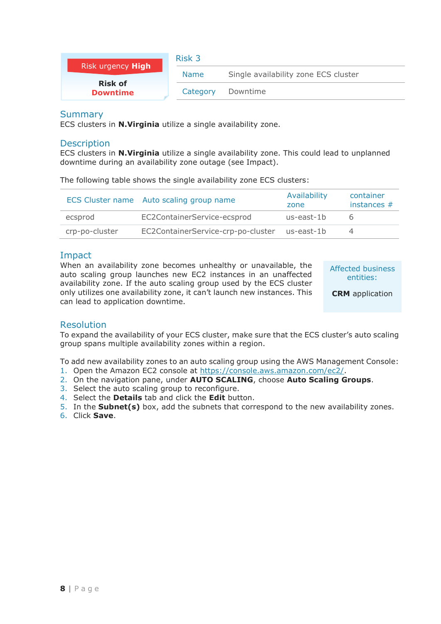<span id="page-8-0"></span>

| Risk urgency High                 | Risk 3      |                                      |
|-----------------------------------|-------------|--------------------------------------|
|                                   | <b>Name</b> | Single availability zone ECS cluster |
| <b>Risk of</b><br><b>Downtime</b> | Category    | Downtime                             |

ECS clusters in **N.Virginia** utilize a single availability zone.

#### **Description**

ECS clusters in **N.Virginia** utilize a single availability zone. This could lead to unplanned downtime during an availability zone outage (see Impact).

The following table shows the single availability zone ECS clusters:

|                | ECS Cluster name Auto scaling group name      | Availability<br>zone | container<br>instances $#$ |
|----------------|-----------------------------------------------|----------------------|----------------------------|
| ecsprod        | EC2ContainerService-ecsprod                   | us-east-1b           | h                          |
| crp-po-cluster | EC2ContainerService-crp-po-cluster us-east-1b |                      |                            |

## Impact

When an availability zone becomes unhealthy or unavailable, the auto scaling group launches new EC2 instances in an unaffected availability zone. If the auto scaling group used by the ECS cluster only utilizes one availability zone, it can't launch new instances. This can lead to application downtime.

Affected business entities:

**CRM** application

#### Resolution

To expand the availability of your ECS cluster, make sure that the ECS cluster's auto scaling group spans multiple availability zones within a region.

To add new availability zones to an auto scaling group using the AWS Management Console:

- 1. Open the Amazon EC2 console at [https://console.aws.amazon.com/ec2/.](https://console.aws.amazon.com/ec2/)
- 2. On the navigation pane, under **AUTO SCALING**, choose **Auto Scaling Groups**.
- 3. Select the auto scaling group to reconfigure.
- 4. Select the **Details** tab and click the **Edit** button.
- 5. In the **Subnet(s)** box, add the subnets that correspond to the new availability zones.
- 6. Click **Save**.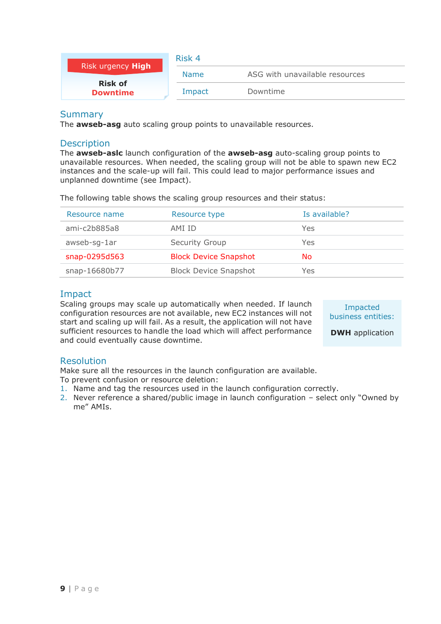<span id="page-9-0"></span>

| Risk urgency <b>High</b>          | Risk 4      |                                |  |
|-----------------------------------|-------------|--------------------------------|--|
|                                   | <b>Name</b> | ASG with unavailable resources |  |
| <b>Risk of</b><br><b>Downtime</b> | Impact      | Downtime                       |  |

The **awseb-asg** auto scaling group points to unavailable resources.

#### **Description**

The **awseb-aslc** launch configuration of the **awseb-asg** auto-scaling group points to unavailable resources. When needed, the scaling group will not be able to spawn new EC2 instances and the scale-up will fail. This could lead to major performance issues and unplanned downtime (see Impact).

The following table shows the scaling group resources and their status:

| Resource name | Resource type                | Is available? |
|---------------|------------------------------|---------------|
| ami-c2b885a8  | AMI ID                       | Yes           |
| awseb-sg-1ar  | Security Group               | Yes           |
| snap-0295d563 | <b>Block Device Snapshot</b> | No            |
| snap-16680b77 | <b>Block Device Snapshot</b> | Yes           |

## Impact

Scaling groups may scale up automatically when needed. If launch configuration resources are not available, new EC2 instances will not start and scaling up will fail. As a result, the application will not have sufficient resources to handle the load which will affect performance and could eventually cause downtime.

Impacted business entities:

**DWH** application

## Resolution

Make sure all the resources in the launch configuration are available.

To prevent confusion or resource deletion:

- 1. Name and tag the resources used in the launch configuration correctly.
- 2. Never reference a shared/public image in launch configuration select only "Owned by me" AMIs.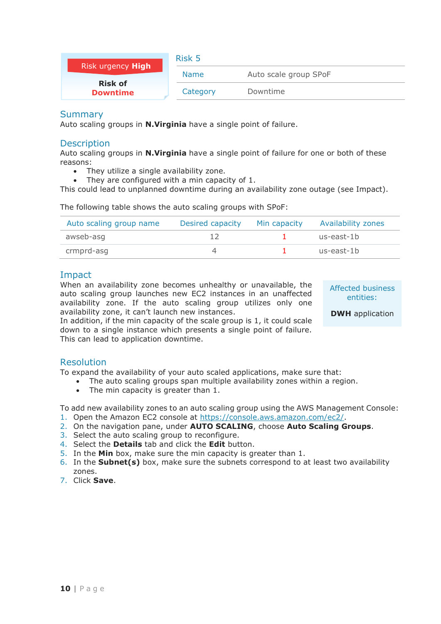<span id="page-10-0"></span>

|                                   | Risk 5      |                       |  |
|-----------------------------------|-------------|-----------------------|--|
| Risk urgency High                 | <b>Name</b> | Auto scale group SPoF |  |
| <b>Risk of</b><br><b>Downtime</b> | Category    | Downtime              |  |

Auto scaling groups in **N.Virginia** have a single point of failure.

#### **Description**

Auto scaling groups in **N.Virginia** have a single point of failure for one or both of these reasons:

- They utilize a single availability zone.
- They are configured with a min capacity of 1.

This could lead to unplanned downtime during an availability zone outage (see Impact).

The following table shows the auto scaling groups with SPoF:

| Auto scaling group name | Desired capacity | Min capacity | <b>Availability zones</b> |
|-------------------------|------------------|--------------|---------------------------|
| awseb-asg               |                  |              | us-east-1b                |
| crmprd-asg              |                  |              | us-east-1b                |

#### Impact

When an availability zone becomes unhealthy or unavailable, the auto scaling group launches new EC2 instances in an unaffected availability zone. If the auto scaling group utilizes only one availability zone, it can't launch new instances.

Affected business entities:

**DWH** application

In addition, if the min capacity of the scale group is 1, it could scale down to a single instance which presents a single point of failure. This can lead to application downtime.

#### Resolution

To expand the availability of your auto scaled applications, make sure that:

- The auto scaling groups span multiple availability zones within a region.
	- The min capacity is greater than 1.

To add new availability zones to an auto scaling group using the AWS Management Console:

- 1. Open the Amazon EC2 console at [https://console.aws.amazon.com/ec2/.](https://console.aws.amazon.com/ec2/)
- 2. On the navigation pane, under **AUTO SCALING**, choose **Auto Scaling Groups**.
- 3. Select the auto scaling group to reconfigure.
- 4. Select the **Details** tab and click the **Edit** button.
- 5. In the **Min** box, make sure the min capacity is greater than 1.
- 6. In the **Subnet(s)** box, make sure the subnets correspond to at least two availability zones.
- 7. Click **Save**.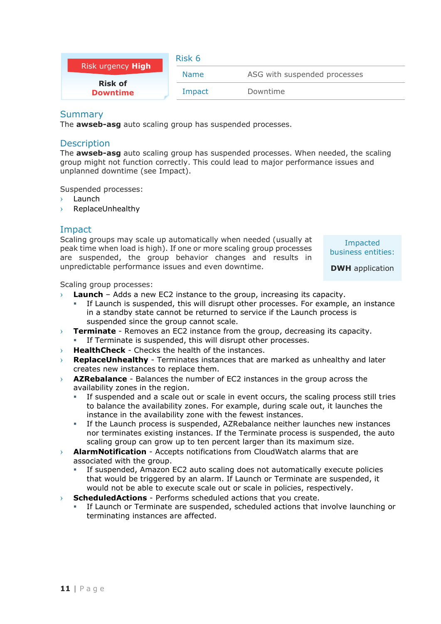<span id="page-11-0"></span>

| <b>Risk urgency High</b>          | Risk 6      |                              |  |
|-----------------------------------|-------------|------------------------------|--|
|                                   | <b>Name</b> | ASG with suspended processes |  |
| <b>Risk of</b><br><b>Downtime</b> | Impact      | Downtime                     |  |

The **awseb-asg** auto scaling group has suspended processes.

#### **Description**

The **awseb-asg** auto scaling group has suspended processes. When needed, the scaling group might not function correctly. This could lead to major performance issues and unplanned downtime (see Impact).

Suspended processes:

- **Launch**
- › ReplaceUnhealthy

## Impact

Scaling groups may scale up automatically when needed (usually at peak time when load is high). If one or more scaling group processes are suspended, the group behavior changes and results in unpredictable performance issues and even downtime.

Impacted business entities:

**DWH** application

Scaling group processes:

- › **Launch** Adds a new EC2 instance to the group, increasing its capacity.
	- If Launch is suspended, this will disrupt other processes. For example, an instance in a standby state cannot be returned to service if the Launch process is suspended since the group cannot scale.
- › **Terminate** Removes an EC2 instance from the group, decreasing its capacity. If Terminate is suspended, this will disrupt other processes.
- › **HealthCheck** Checks the health of the instances.
- **ReplaceUnhealthy** Terminates instances that are marked as unhealthy and later creates new instances to replace them.
- › **AZRebalance** Balances the number of EC2 instances in the group across the availability zones in the region.
	- If suspended and a scale out or scale in event occurs, the scaling process still tries to balance the availability zones. For example, during scale out, it launches the instance in the availability zone with the fewest instances.
	- If the Launch process is suspended, AZRebalance neither launches new instances nor terminates existing instances. If the Terminate process is suspended, the auto scaling group can grow up to ten percent larger than its maximum size.
- › **AlarmNotification** Accepts notifications from CloudWatch alarms that are associated with the group.
	- If suspended, Amazon EC2 auto scaling does not automatically execute policies that would be triggered by an alarm. If Launch or Terminate are suspended, it would not be able to execute scale out or scale in policies, respectively.
- › **ScheduledActions** Performs scheduled actions that you create.
	- If Launch or Terminate are suspended, scheduled actions that involve launching or terminating instances are affected.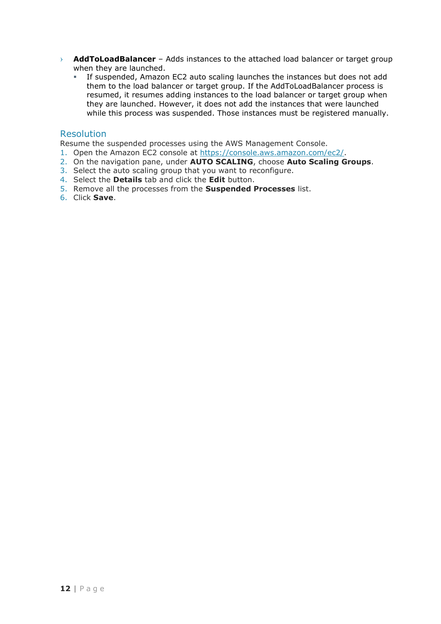- › **AddToLoadBalancer** Adds instances to the attached load balancer or target group when they are launched.
	- **EXECT** If suspended, Amazon EC2 auto scaling launches the instances but does not add them to the load balancer or target group. If the AddToLoadBalancer process is resumed, it resumes adding instances to the load balancer or target group when they are launched. However, it does not add the instances that were launched while this process was suspended. Those instances must be registered manually.

#### Resolution

Resume the suspended processes using the AWS Management Console.

- 1. Open the Amazon EC2 console at [https://console.aws.amazon.com/ec2/.](https://console.aws.amazon.com/ec2/)
- 2. On the navigation pane, under **AUTO SCALING**, choose **Auto Scaling Groups**.
- 3. Select the auto scaling group that you want to reconfigure.
- 4. Select the **Details** tab and click the **Edit** button.
- 5. Remove all the processes from the **Suspended Processes** list.
- 6. Click **Save**.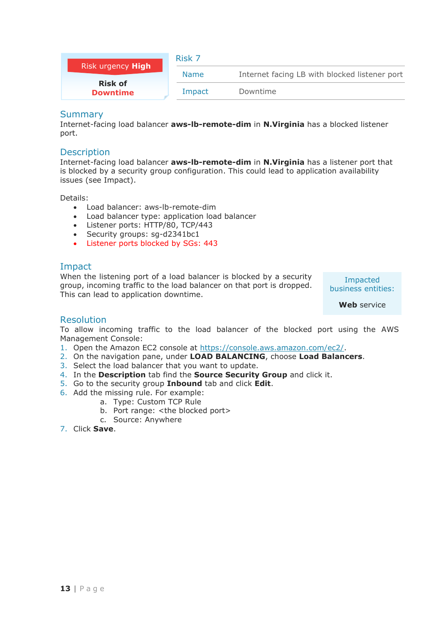<span id="page-13-0"></span>

| Risk urgency High                 | Risk 7      |                                               |  |
|-----------------------------------|-------------|-----------------------------------------------|--|
|                                   | <b>Name</b> | Internet facing LB with blocked listener port |  |
| <b>Risk of</b><br><b>Downtime</b> | Impact      | Downtime                                      |  |

Internet-facing load balancer **aws-lb-remote-dim** in **N.Virginia** has a blocked listener port.

#### **Description**

Internet-facing load balancer **aws-lb-remote-dim** in **N.Virginia** has a listener port that is blocked by a security group configuration. This could lead to application availability issues (see Impact).

Details:

- Load balancer: aws-lb-remote-dim
- Load balancer type: application load balancer
- Listener ports: HTTP/80, TCP/443
- Security groups: sg-d2341bc1
- Listener ports blocked by SGs: 443

## Impact

When the listening port of a load balancer is blocked by a security group, incoming traffic to the load balancer on that port is dropped. This can lead to application downtime.

Impacted business entities:

**Web** service

#### Resolution

To allow incoming traffic to the load balancer of the blocked port using the AWS Management Console:

- 1. Open the Amazon EC2 console at [https://console.aws.amazon.com/ec2/.](https://console.aws.amazon.com/ec2/)
- 2. On the navigation pane, under **LOAD BALANCING**, choose **Load Balancers**.
- 3. Select the load balancer that you want to update.
- 4. In the **Description** tab find the **Source Security Group** and click it.
- 5. Go to the security group **Inbound** tab and click **Edit**.
- 6. Add the missing rule. For example:
	- a. Type: Custom TCP Rule
	- b. Port range: <the blocked port>
	- c. Source: Anywhere
- 7. Click **Save**.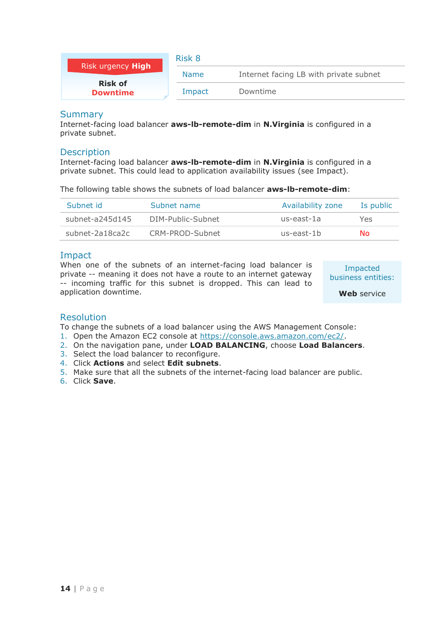<span id="page-14-0"></span>

| Risk urgency High                 | Risk 8      |                                        |  |
|-----------------------------------|-------------|----------------------------------------|--|
|                                   | <b>Name</b> | Internet facing LB with private subnet |  |
| <b>Risk of</b><br><b>Downtime</b> | Impact      | Downtime                               |  |

Internet-facing load balancer **aws-lb-remote-dim** in **N.Virginia** is configured in a private subnet.

#### **Description**

Internet-facing load balancer **aws-lb-remote-dim** in **N.Virginia** is configured in a private subnet. This could lead to application availability issues (see Impact).

The following table shows the subnets of load balancer **aws-lb-remote-dim**:

| Subnet id         | Subnet name       | Availability zone | Is public |
|-------------------|-------------------|-------------------|-----------|
| $subnet-a245d145$ | DIM-Public-Subnet | us-east-1a        | Yes       |
| subnet-2a18ca2c   | CRM-PROD-Subnet   | us-east-1b        | No.       |

## Impact

When one of the subnets of an internet-facing load balancer is private -- meaning it does not have a route to an internet gateway -- incoming traffic for this subnet is dropped. This can lead to application downtime.

Impacted business entities:

**Web** service

#### Resolution

To change the subnets of a load balancer using the AWS Management Console:

- 1. Open the Amazon EC2 console at [https://console.aws.amazon.com/ec2/.](https://console.aws.amazon.com/ec2/)
- 2. On the navigation pane, under **LOAD BALANCING**, choose **Load Balancers**.
- 3. Select the load balancer to reconfigure.
- 4. Click **Actions** and select **Edit subnets**.
- 5. Make sure that all the subnets of the internet-facing load balancer are public.
- 6. Click **Save**.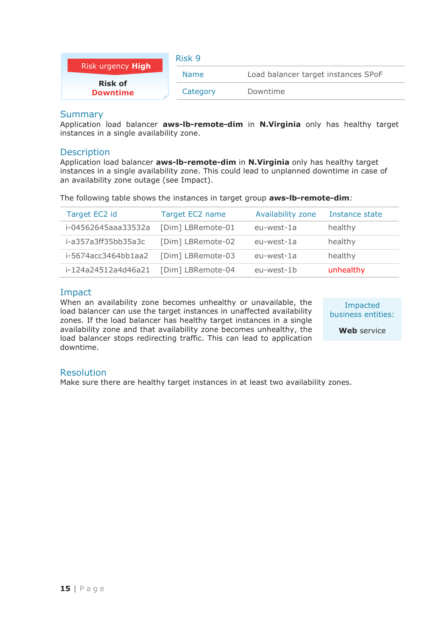<span id="page-15-0"></span>

| Risk urgency High                 | Risk 9      |                                     |  |
|-----------------------------------|-------------|-------------------------------------|--|
|                                   | <b>Name</b> | Load balancer target instances SPoF |  |
| <b>Risk of</b><br><b>Downtime</b> | Category    | Downtime                            |  |

Application load balancer **aws-lb-remote-dim** in **N.Virginia** only has healthy target instances in a single availability zone.

#### **Description**

Application load balancer **aws-lb-remote-dim** in **N.Virginia** only has healthy target instances in a single availability zone. This could lead to unplanned downtime in case of an availability zone outage (see Impact).

The following table shows the instances in target group **aws-lb-remote-dim**:

| Target EC2 id       | Target EC2 name   | Availability zone | Instance state |
|---------------------|-------------------|-------------------|----------------|
| i-04562645aaa33532a | [Dim] LBRemote-01 | eu-west-1a        | healthy        |
| i-a357a3ff35bb35a3c | [Dim] LBRemote-02 | eu-west-1a        | healthy        |
| i-5674acc3464bb1aa2 | [Dim] LBRemote-03 | eu-west-1a        | healthy        |
| i-124a24512a4d46a21 | [Dim] LBRemote-04 | eu-west-1b        | unhealthy      |

## Impact

When an availability zone becomes unhealthy or unavailable, the load balancer can use the target instances in unaffected availability zones. If the load balancer has healthy target instances in a single availability zone and that availability zone becomes unhealthy, the load balancer stops redirecting traffic. This can lead to application downtime.

Impacted business entities: **Web** service

#### Resolution

Make sure there are healthy target instances in at least two availability zones.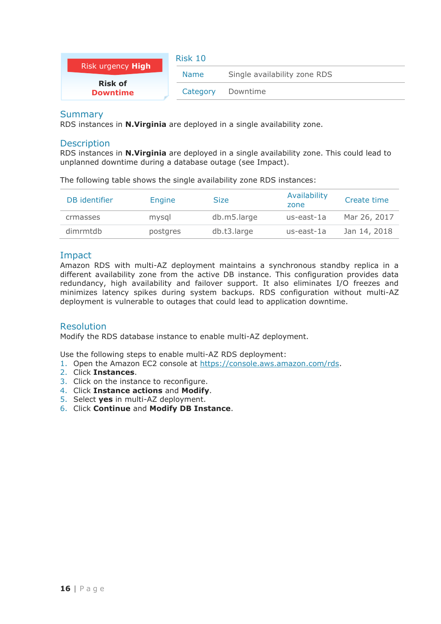<span id="page-16-0"></span>

| Risk urgency High                 | Risk 10     |                              |  |  |
|-----------------------------------|-------------|------------------------------|--|--|
|                                   | <b>Name</b> | Single availability zone RDS |  |  |
| <b>Risk of</b><br><b>Downtime</b> | Category    | Downtime                     |  |  |

RDS instances in **N.Virginia** are deployed in a single availability zone.

#### **Description**

RDS instances in **N.Virginia** are deployed in a single availability zone. This could lead to unplanned downtime during a database outage (see Impact).

The following table shows the single availability zone RDS instances:

| DB identifier | Engine   | Size        | Availability<br>zone | Create time  |
|---------------|----------|-------------|----------------------|--------------|
| crmasses      | mysgl    | db.m5.large | us-east-1a           | Mar 26, 2017 |
| dimrmtdb      | postgres | db.t3.large | us-east-1a           | Jan 14, 2018 |

## Impact

Amazon RDS with multi-AZ deployment maintains a synchronous standby replica in a different availability zone from the active DB instance. This configuration provides data redundancy, high availability and failover support. It also eliminates I/O freezes and minimizes latency spikes during system backups. RDS configuration without multi-AZ deployment is vulnerable to outages that could lead to application downtime.

#### Resolution

Modify the RDS database instance to enable multi-AZ deployment.

Use the following steps to enable multi-AZ RDS deployment:

- 1. Open the Amazon EC2 console at [https://console.aws.amazon.com/rds.](https://console.aws.amazon.com/rds)
- 2. Click **Instances**.
- 3. Click on the instance to reconfigure.
- 4. Click **Instance actions** and **Modify**.
- 5. Select **yes** in multi-AZ deployment.
- 6. Click **Continue** and **Modify DB Instance**.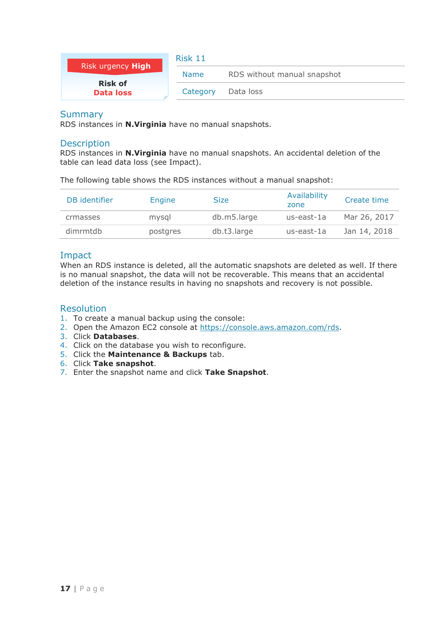<span id="page-17-0"></span>

| Risk urgency High                  | Risk 11     |                             |  |
|------------------------------------|-------------|-----------------------------|--|
|                                    | <b>Name</b> | RDS without manual snapshot |  |
| <b>Risk of</b><br><b>Data loss</b> | Category    | Data loss                   |  |

RDS instances in **N.Virginia** have no manual snapshots.

#### **Description**

RDS instances in **N.Virginia** have no manual snapshots. An accidental deletion of the table can lead data loss (see Impact).

The following table shows the RDS instances without a manual snapshot:

| DB identifier | Engine   | <b>Size</b> | Availability<br>zone | Create time  |
|---------------|----------|-------------|----------------------|--------------|
| crmasses      | mysgl    | db.m5.large | us-east-1a           | Mar 26, 2017 |
| dimrmtdb      | postgres | db.t3.large | us-east-1a           | Jan 14, 2018 |

## Impact

When an RDS instance is deleted, all the automatic snapshots are deleted as well. If there is no manual snapshot, the data will not be recoverable. This means that an accidental deletion of the instance results in having no snapshots and recovery is not possible.

## Resolution

- 1. To create a manual backup using the console:
- 2. Open the Amazon EC2 console at [https://console.aws.amazon.com/rds.](https://console.aws.amazon.com/rds)
- 3. Click **Databases**.
- 4. Click on the database you wish to reconfigure.
- 5. Click the **Maintenance & Backups** tab.
- 6. Click **Take snapshot**.
- 7. Enter the snapshot name and click **Take Snapshot**.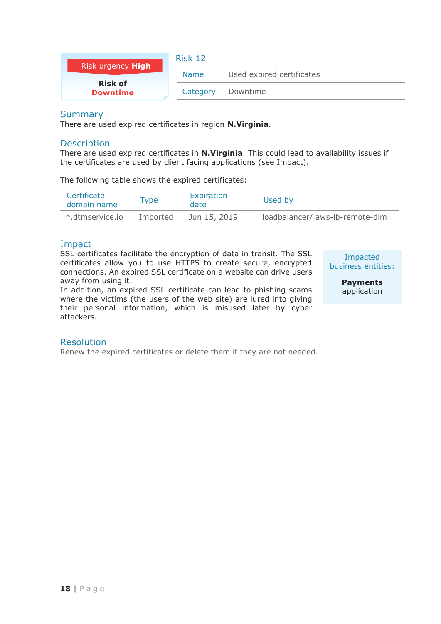<span id="page-18-0"></span>

| Risk urgency High                 | Risk 12     |                           |  |  |
|-----------------------------------|-------------|---------------------------|--|--|
|                                   | <b>Name</b> | Used expired certificates |  |  |
| <b>Risk of</b><br><b>Downtime</b> | Category    | Downtime                  |  |  |

There are used expired certificates in region **N.Virginia**.

#### Description

There are used expired certificates in **N.Virginia**. This could lead to availability issues if the certificates are used by client facing applications (see Impact).

The following table shows the expired certificates:

| Certificate<br>domain name | Type     | Expiration<br>date | Used by                         |
|----------------------------|----------|--------------------|---------------------------------|
| *.dtmservice.io            | Imported | Jun 15, 2019       | loadbalancer/ aws-lb-remote-dim |

## Impact

SSL certificates facilitate the encryption of data in transit. The SSL certificates allow you to use HTTPS to create secure, encrypted connections. An expired SSL certificate on a website can drive users away from using it.

In addition, an expired SSL certificate can lead to phishing scams where the victims (the users of the web site) are lured into giving their personal information, which is misused later by cyber attackers.

Impacted business entities:

> **Payments**  application

#### **Resolution**

Renew the expired certificates or delete them if they are not needed.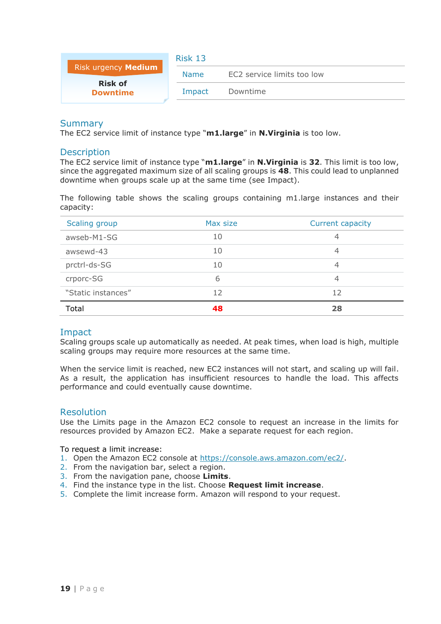<span id="page-19-0"></span>

|                                   | Risk 13 |                            |
|-----------------------------------|---------|----------------------------|
| Risk urgency Medium               | Name.   | EC2 service limits too low |
| <b>Risk of</b><br><b>Downtime</b> | Impact  | Downtime                   |

The EC2 service limit of instance type "**m1.large**" in **N.Virginia** is too low.

#### **Description**

The EC2 service limit of instance type "**m1.large**" in **N.Virginia** is **32**. This limit is too low, since the aggregated maximum size of all scaling groups is **48**. This could lead to unplanned downtime when groups scale up at the same time (see Impact).

The following table shows the scaling groups containing m1.large instances and their capacity:

| Scaling group      | Max size | Current capacity |
|--------------------|----------|------------------|
| awseb-M1-SG        | 10       | 4                |
| awsewd-43          | 10       | 4                |
| prctrl-ds-SG       | 10       | 4                |
| crporc-SG          | 6        | 4                |
| "Static instances" | 12       | 12               |
| Total              | 48       | 28               |

#### Impact

Scaling groups scale up automatically as needed. At peak times, when load is high, multiple scaling groups may require more resources at the same time.

When the service limit is reached, new EC2 instances will not start, and scaling up will fail. As a result, the application has insufficient resources to handle the load. This affects performance and could eventually cause downtime.

#### Resolution

Use the Limits page in the Amazon EC2 console to request an increase in the limits for resources provided by Amazon EC2. Make a separate request for each region.

#### To request a limit increase:

- 1. Open the Amazon EC2 console at [https://console.aws.amazon.com/ec2/.](https://console.aws.amazon.com/ec2/)
- 2. From the navigation bar, select a region.
- 3. From the navigation pane, choose **Limits**.
- 4. Find the instance type in the list. Choose **Request limit increase**.
- 5. Complete the limit increase form. Amazon will respond to your request.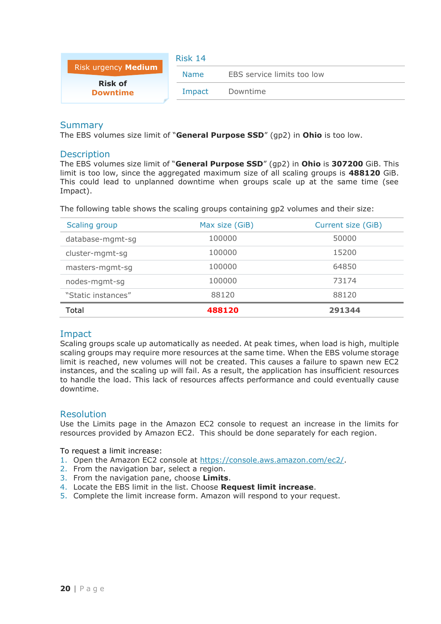<span id="page-20-0"></span>

|                                   | Risk 14     |                            |
|-----------------------------------|-------------|----------------------------|
| Risk urgency Medium               | <b>Name</b> | EBS service limits too low |
| <b>Risk of</b><br><b>Downtime</b> | Impact      | Downtime                   |
|                                   |             |                            |

The EBS volumes size limit of "**General Purpose SSD**" (gp2) in **Ohio** is too low.

#### **Description**

The EBS volumes size limit of "**General Purpose SSD**" (gp2) in **Ohio** is **307200** GiB. This limit is too low, since the aggregated maximum size of all scaling groups is **488120** GiB. This could lead to unplanned downtime when groups scale up at the same time (see Impact).

The following table shows the scaling groups containing gp2 volumes and their size:

| Scaling group      | Max size (GiB) | Current size (GiB) |
|--------------------|----------------|--------------------|
| database-mgmt-sg   | 100000         | 50000              |
| cluster-mgmt-sg    | 100000         | 15200              |
| masters-mgmt-sg    | 100000         | 64850              |
| nodes-mgmt-sg      | 100000         | 73174              |
| "Static instances" | 88120          | 88120              |
| Total              | 488120         | 291344             |

#### Impact

Scaling groups scale up automatically as needed. At peak times, when load is high, multiple scaling groups may require more resources at the same time. When the EBS volume storage limit is reached, new volumes will not be created. This causes a failure to spawn new EC2 instances, and the scaling up will fail. As a result, the application has insufficient resources to handle the load. This lack of resources affects performance and could eventually cause downtime.

#### Resolution

Use the Limits page in the Amazon EC2 console to request an increase in the limits for resources provided by Amazon EC2. This should be done separately for each region.

To request a limit increase:

- 1. Open the Amazon EC2 console at [https://console.aws.amazon.com/ec2/.](https://console.aws.amazon.com/ec2/)
- 2. From the navigation bar, select a region.
- 3. From the navigation pane, choose **Limits**.
- 4. Locate the EBS limit in the list. Choose **Request limit increase**.
- 5. Complete the limit increase form. Amazon will respond to your request.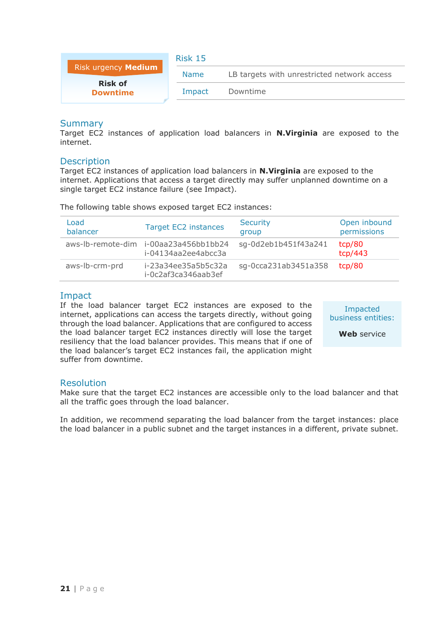<span id="page-21-0"></span>

|                                   | <b>Risk 15</b> |                                             |
|-----------------------------------|----------------|---------------------------------------------|
| Risk urgency Medium               | <b>Name</b>    | LB targets with unrestricted network access |
| <b>Risk of</b><br><b>Downtime</b> | Impact         | Downtime                                    |

Target EC2 instances of application load balancers in **N.Virginia** are exposed to the internet.

## **Description**

Target EC2 instances of application load balancers in **N.Virginia** are exposed to the internet. Applications that access a target directly may suffer unplanned downtime on a single target EC2 instance failure (see Impact).

| Load<br>balancer | <b>Target EC2 instances</b>                                  | <b>Security</b><br>group | Open inbound<br>permissions |
|------------------|--------------------------------------------------------------|--------------------------|-----------------------------|
|                  | aws-lb-remote-dim i-00aa23a456bb1bb24<br>i-04134aa2ee4abcc3a | sq-0d2eb1b451f43a241     | tcp/80<br>tcp/443           |
| aws-lb-crm-prd   | i-23a34ee35a5b5c32a<br>i-0c2af3ca346aab3ef                   | sq-0cca231ab3451a358     | tcp/80                      |

The following table shows exposed target EC2 instances:

## Impact

If the load balancer target EC2 instances are exposed to the internet, applications can access the targets directly, without going through the load balancer. Applications that are configured to access the load balancer target EC2 instances directly will lose the target resiliency that the load balancer provides. This means that if one of the load balancer's target EC2 instances fail, the application might suffer from downtime.

Impacted business entities:

**Web** service

#### Resolution

Make sure that the target EC2 instances are accessible only to the load balancer and that all the traffic goes through the load balancer.

In addition, we recommend separating the load balancer from the target instances: place the load balancer in a public subnet and the target instances in a different, private subnet.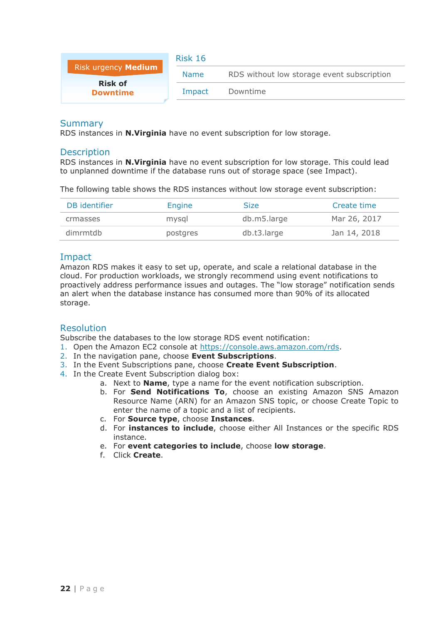<span id="page-22-0"></span>

|                                   | <b>Risk 16</b> |                                            |
|-----------------------------------|----------------|--------------------------------------------|
| Risk urgency Medium               | <b>Name</b>    | RDS without low storage event subscription |
| <b>Risk of</b><br><b>Downtime</b> | Impact         | Downtime                                   |

RDS instances in **N.Virginia** have no event subscription for low storage.

#### **Description**

RDS instances in **N.Virginia** have no event subscription for low storage. This could lead to unplanned downtime if the database runs out of storage space (see Impact).

The following table shows the RDS instances without low storage event subscription:

| DB identifier | <b>Engine</b> | Size        | Create time  |
|---------------|---------------|-------------|--------------|
| crmasses      | mysql         | db.m5.large | Mar 26, 2017 |
| dimrmtdb      | postgres      | db.t3.large | Jan 14, 2018 |

#### Impact

Amazon RDS makes it easy to set up, operate, and scale a relational database in the cloud. For production workloads, we strongly recommend using event notifications to proactively address performance issues and outages. The "low storage" notification sends an alert when the database instance has consumed more than 90% of its allocated storage.

#### Resolution

Subscribe the databases to the low storage RDS event notification:

1. Open the Amazon EC2 console at [https://console.aws.amazon.com/rds.](https://console.aws.amazon.com/rds)

- 2. In the navigation pane, choose **Event Subscriptions**.
- 3. In the Event Subscriptions pane, choose **Create Event Subscription**.
- 4. In the Create Event Subscription dialog box:
	- a. Next to **Name**, type a name for the event notification subscription.
	- b. For **Send Notifications To**, choose an existing Amazon SNS Amazon Resource Name (ARN) for an Amazon SNS topic, or choose Create Topic to enter the name of a topic and a list of recipients.
	- c. For **Source type**, choose **Instances**.
	- d. For **instances to include**, choose either All Instances or the specific RDS instance.
	- e. For **event categories to include**, choose **low storage**.
	- f. Click **Create**.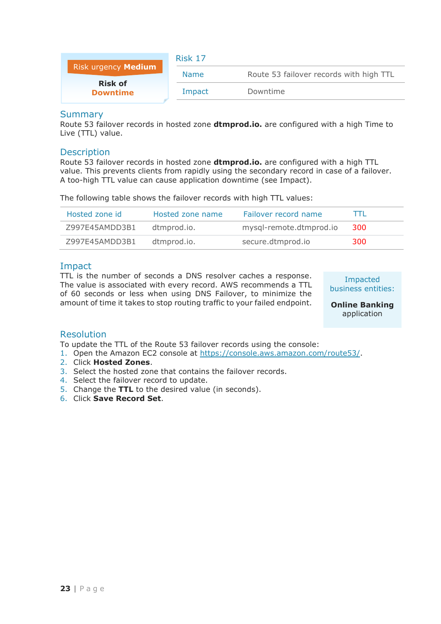<span id="page-23-0"></span>

|                                   | Risk 17     |                                         |
|-----------------------------------|-------------|-----------------------------------------|
| Risk urgency Medium               | <b>Name</b> | Route 53 failover records with high TTL |
| <b>Risk of</b><br><b>Downtime</b> | Impact      | Downtime                                |

Route 53 failover records in hosted zone **dtmprod.io.** are configured with a high Time to Live (TTL) value.

#### **Description**

Route 53 failover records in hosted zone **dtmprod.io.** are configured with a high TTL value. This prevents clients from rapidly using the secondary record in case of a failover. A too-high TTL value can cause application downtime (see Impact).

The following table shows the failover records with high TTL values:

| Hosted zone id | Hosted zone name | Failover record name    |     |
|----------------|------------------|-------------------------|-----|
| Z997E45AMDD3B1 | dtmprod.io.      | mysql-remote.dtmprod.io | 300 |
| Z997E45AMDD3B1 | dtmprod.io.      | secure.dtmprod.io       | 300 |

## Impact

TTL is the number of seconds a DNS resolver caches a response. The value is associated with every record. AWS recommends a TTL of 60 seconds or less when using DNS Failover, to minimize the amount of time it takes to stop routing traffic to your failed endpoint.

Impacted business entities:

**Online Banking** application

#### Resolution

To update the TTL of the Route 53 failover records using the console:

- 1. Open the Amazon EC2 console at [https://console.aws.amazon.com/route53/.](https://console.aws.amazon.com/route53/)
- 2. Click **Hosted Zones**.
- 3. Select the hosted zone that contains the failover records.
- 4. Select the failover record to update.
- 5. Change the **TTL** to the desired value (in seconds).
- 6. Click **Save Record Set**.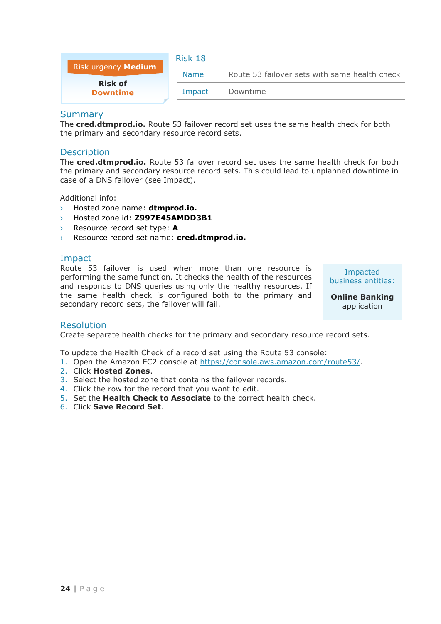<span id="page-24-0"></span>

|                                   | Risk 18     |                                               |
|-----------------------------------|-------------|-----------------------------------------------|
| Risk urgency Medium               | <b>Name</b> | Route 53 failover sets with same health check |
| <b>Risk of</b><br><b>Downtime</b> | Impact      | Downtime                                      |

The **cred.dtmprod.io.** Route 53 failover record set uses the same health check for both the primary and secondary resource record sets.

#### **Description**

The **cred.dtmprod.io.** Route 53 failover record set uses the same health check for both the primary and secondary resource record sets. This could lead to unplanned downtime in case of a DNS failover (see Impact).

Additional info:

- › Hosted zone name: **dtmprod.io.**
- › Hosted zone id: **Z997E45AMDD3B1**
- Resource record set type: A
- › Resource record set name: **cred.dtmprod.io.**

## Impact

Route 53 failover is used when more than one resource is performing the same function. It checks the health of the resources and responds to DNS queries using only the healthy resources. If the same health check is configured both to the primary and secondary record sets, the failover will fail.

Impacted business entities:

**Online Banking** application

#### Resolution

Create separate health checks for the primary and secondary resource record sets.

To update the Health Check of a record set using the Route 53 console:

- 1. Open the Amazon EC2 console at [https://console.aws.amazon.com/route53/.](https://console.aws.amazon.com/route53/)
- 2. Click **Hosted Zones**.
- 3. Select the hosted zone that contains the failover records.
- 4. Click the row for the record that you want to edit.
- 5. Set the **Health Check to Associate** to the correct health check.
- 6. Click **Save Record Set**.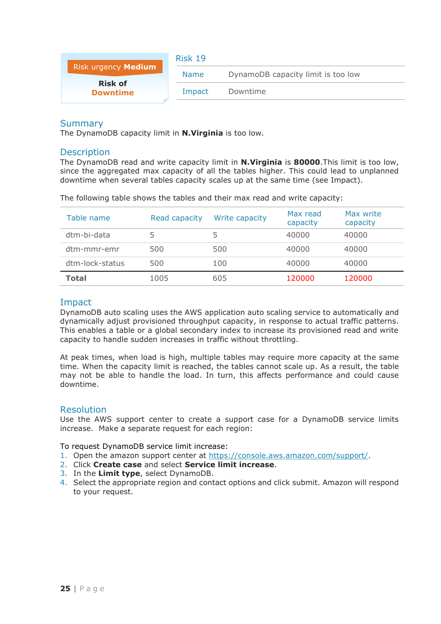<span id="page-25-0"></span>

|                                   | Risk 19     |                                    |
|-----------------------------------|-------------|------------------------------------|
| Risk urgency Medium               | <b>Name</b> | DynamoDB capacity limit is too low |
| <b>Risk of</b><br><b>Downtime</b> | Impact      | Downtime                           |

The DynamoDB capacity limit in **N.Virginia** is too low.

#### **Description**

The DynamoDB read and write capacity limit in **N.Virginia** is **80000**.This limit is too low, since the aggregated max capacity of all the tables higher. This could lead to unplanned downtime when several tables capacity scales up at the same time (see Impact).

The following table shows the tables and their max read and write capacity:

| Table name      | Read capacity | Write capacity | Max read<br>capacity | Max write<br>capacity |
|-----------------|---------------|----------------|----------------------|-----------------------|
| dtm-bi-data     |               | 5              | 40000                | 40000                 |
| dtm-mmr-emr     | 500           | 500            | 40000                | 40000                 |
| dtm-lock-status | 500           | 100            | 40000                | 40000                 |
| <b>Total</b>    | 1005          | 605            | 120000               | 120000                |

#### Impact

DynamoDB auto scaling uses the AWS application auto scaling service to automatically and dynamically adjust provisioned throughput capacity, in response to actual traffic patterns. This enables a table or a global secondary index to increase its provisioned read and write capacity to handle sudden increases in traffic without throttling.

At peak times, when load is high, multiple tables may require more capacity at the same time. When the capacity limit is reached, the tables cannot scale up. As a result, the table may not be able to handle the load. In turn, this affects performance and could cause downtime.

#### Resolution

Use the AWS support center to create a support case for a DynamoDB service limits increase. Make a separate request for each region:

To request DynamoDB service limit increase:

- 1. Open the amazon support center at [https://console.aws.amazon.com/support/.](https://console.aws.amazon.com/support/)
- 2. Click **Create case** and select **Service limit increase**.
- 3. In the **Limit type**, select DynamoDB.
- 4. Select the appropriate region and contact options and click submit. Amazon will respond to your request.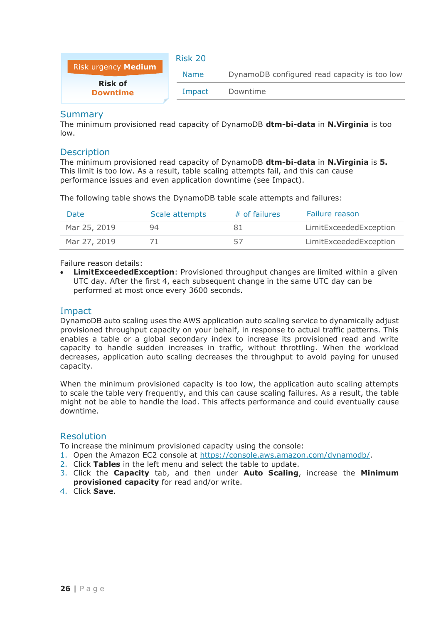<span id="page-26-0"></span>

|                                   | Risk 20     |                                              |
|-----------------------------------|-------------|----------------------------------------------|
| Risk urgency Medium               | <b>Name</b> | DynamoDB configured read capacity is too low |
| <b>Risk of</b><br><b>Downtime</b> | Impact      | Downtime                                     |

The minimum provisioned read capacity of DynamoDB **dtm-bi-data** in **N.Virginia** is too low.

#### **Description**

The minimum provisioned read capacity of DynamoDB **dtm-bi-data** in **N.Virginia** is **5.** This limit is too low. As a result, table scaling attempts fail, and this can cause performance issues and even application downtime (see Impact).

The following table shows the DynamoDB table scale attempts and failures:

| <b>Date</b>  | Scale attempts | # of failures | Failure reason         |
|--------------|----------------|---------------|------------------------|
| Mar 25, 2019 | 94             |               | LimitExceededException |
| Mar 27, 2019 |                | -57           | LimitExceededException |

#### Failure reason details:

**LimitExceededException**: Provisioned throughput changes are limited within a given UTC day. After the first 4, each subsequent change in the same UTC day can be performed at most once every 3600 seconds.

## Impact

DynamoDB auto scaling uses the AWS application auto scaling service to dynamically adjust provisioned throughput capacity on your behalf, in response to actual traffic patterns. This enables a table or a global secondary index to increase its provisioned read and write capacity to handle sudden increases in traffic, without throttling. When the workload decreases, application auto scaling decreases the throughput to avoid paying for unused capacity.

When the minimum provisioned capacity is too low, the application auto scaling attempts to scale the table very frequently, and this can cause scaling failures. As a result, the table might not be able to handle the load. This affects performance and could eventually cause downtime.

#### Resolution

To increase the minimum provisioned capacity using the console:

- 1. Open the Amazon EC2 console at [https://console.aws.amazon.com/dynamodb/.](https://console.aws.amazon.com/dynamodb/)
- 2. Click **Tables** in the left menu and select the table to update.
- 3. Click the **Capacity** tab, and then under **Auto Scaling**, increase the **Minimum provisioned capacity** for read and/or write.
- 4. Click **Save**.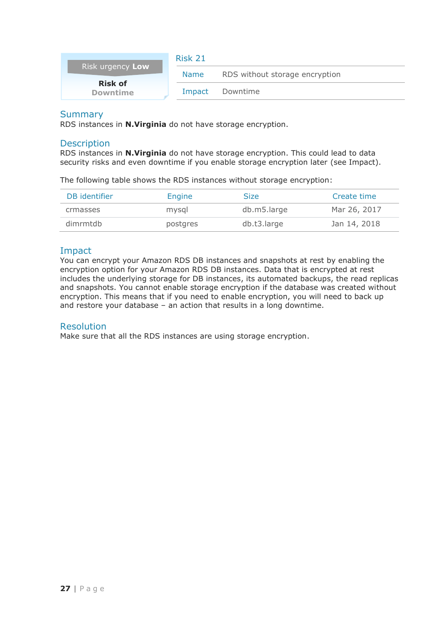<span id="page-27-0"></span>

|                                   | Risk 21     |                                |
|-----------------------------------|-------------|--------------------------------|
| Risk urgency Low                  | <b>Name</b> | RDS without storage encryption |
| <b>Risk of</b><br><b>Downtime</b> | Impact      | Downtime                       |

RDS instances in **N.Virginia** do not have storage encryption.

#### **Description**

RDS instances in **N.Virginia** do not have storage encryption. This could lead to data security risks and even downtime if you enable storage encryption later (see Impact).

The following table shows the RDS instances without storage encryption:

| DB identifier | Engine   | <b>Size</b> | Create time  |
|---------------|----------|-------------|--------------|
| crmasses      | mysgl    | db.m5.large | Mar 26, 2017 |
| dimrmtdb      | postgres | db.t3.large | Jan 14, 2018 |

## Impact

You can encrypt your Amazon RDS DB instances and snapshots at rest by enabling the encryption option for your Amazon RDS DB instances. Data that is encrypted at rest includes the underlying storage for DB instances, its automated backups, the read replicas and snapshots. You cannot enable storage encryption if the database was created without encryption. This means that if you need to enable encryption, you will need to back up and restore your database – an action that results in a long downtime.

#### Resolution

Make sure that all the RDS instances are using storage encryption.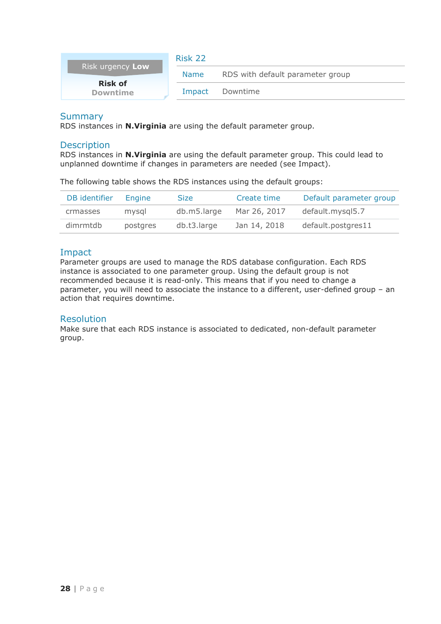<span id="page-28-0"></span>

|                                   | Risk 22     |                                  |
|-----------------------------------|-------------|----------------------------------|
| Risk urgency Low                  | <b>Name</b> | RDS with default parameter group |
| <b>Risk of</b><br><b>Downtime</b> | Impact      | Downtime                         |

RDS instances in **N.Virginia** are using the default parameter group.

#### **Description**

RDS instances in **N.Virginia** are using the default parameter group. This could lead to unplanned downtime if changes in parameters are needed (see Impact).

The following table shows the RDS instances using the default groups:

| DB identifier | Engine   | <b>Size</b> | Create time  | Default parameter group |
|---------------|----------|-------------|--------------|-------------------------|
| crmasses      | mysal    | db.m5.large | Mar 26, 2017 | default.mysql5.7        |
| dimrmtdb      | postgres | db.t3.large | Jan 14, 2018 | default.postgres11      |

## Impact

Parameter groups are used to manage the RDS database configuration. Each RDS instance is associated to one parameter group. Using the default group is not recommended because it is read-only. This means that if you need to change a parameter, you will need to associate the instance to a different, user-defined group – an action that requires downtime.

#### Resolution

Make sure that each RDS instance is associated to dedicated, non-default parameter group.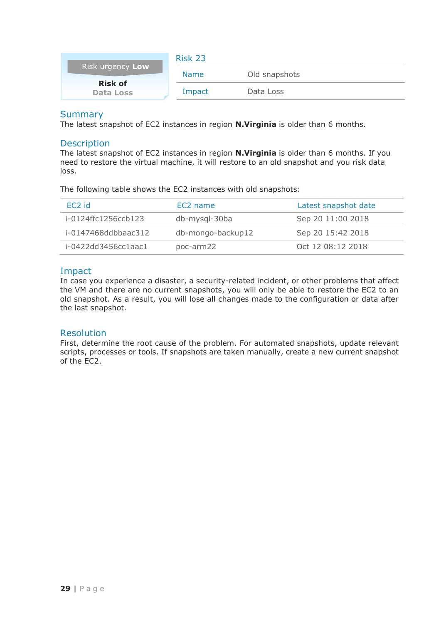<span id="page-29-0"></span>

| Risk urgency Low                   | Risk 23     |               |
|------------------------------------|-------------|---------------|
|                                    | <b>Name</b> | Old snapshots |
| <b>Risk of</b><br><b>Data Loss</b> | Impact      | Data Loss     |

The latest snapshot of EC2 instances in region **N.Virginia** is older than 6 months.

#### **Description**

The latest snapshot of EC2 instances in region **N.Virginia** is older than 6 months. If you need to restore the virtual machine, it will restore to an old snapshot and you risk data loss.

The following table shows the EC2 instances with old snapshots:

| EC <sub>2</sub> id  | EC <sub>2</sub> name | Latest snapshot date |
|---------------------|----------------------|----------------------|
| i-0124ffc1256ccb123 | db-mysql-30ba        | Sep 20 11:00 2018    |
| i-0147468ddbbaac312 | db-mongo-backup12    | Sep 20 15:42 2018    |
| i-0422dd3456cc1aac1 | poc-arm22            | $Oct$ 12 08:12 2018  |

## Impact

In case you experience a disaster, a security-related incident, or other problems that affect the VM and there are no current snapshots, you will only be able to restore the EC2 to an old snapshot. As a result, you will lose all changes made to the configuration or data after the last snapshot.

#### Resolution

First, determine the root cause of the problem. For automated snapshots, update relevant scripts, processes or tools. If snapshots are taken manually, create a new current snapshot of the EC2.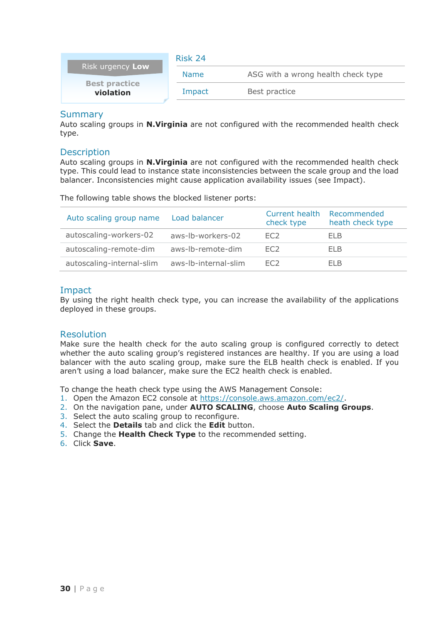<span id="page-30-0"></span>

|                                   | Risk 24     |                                    |  |
|-----------------------------------|-------------|------------------------------------|--|
| Risk urgency Low                  | <b>Name</b> | ASG with a wrong health check type |  |
| <b>Best practice</b><br>violation | Impact      | Best practice                      |  |

Auto scaling groups in **N.Virginia** are not configured with the recommended health check type.

#### **Description**

Auto scaling groups in **N.Virginia** are not configured with the recommended health check type. This could lead to instance state inconsistencies between the scale group and the load balancer. Inconsistencies might cause application availability issues (see Impact).

The following table shows the blocked listener ports:

| Auto scaling group name   | Load balancer        | Current health<br>check type | Recommended<br>heath check type |
|---------------------------|----------------------|------------------------------|---------------------------------|
| autoscaling-workers-02    | aws-lb-workers-02    | FC <sub>2</sub>              | FI B                            |
| autoscaling-remote-dim    | aws-lb-remote-dim    | FC <sub>2</sub>              | FI B                            |
| autoscaling-internal-slim | aws-Ib-internal-slim | FC <sub>2</sub>              | FI B                            |

#### Impact

By using the right health check type, you can increase the availability of the applications deployed in these groups.

#### Resolution

Make sure the health check for the auto scaling group is configured correctly to detect whether the auto scaling group's registered instances are healthy. If you are using a load balancer with the auto scaling group, make sure the ELB health check is enabled. If you aren't using a load balancer, make sure the EC2 health check is enabled.

To change the heath check type using the AWS Management Console:

- 1. Open the Amazon EC2 console at [https://console.aws.amazon.com/ec2/.](https://console.aws.amazon.com/ec2/)
- 2. On the navigation pane, under **AUTO SCALING**, choose **Auto Scaling Groups**.
- 3. Select the auto scaling group to reconfigure.
- 4. Select the **Details** tab and click the **Edit** button.
- 5. Change the **Health Check Type** to the recommended setting.
- 6. Click **Save**.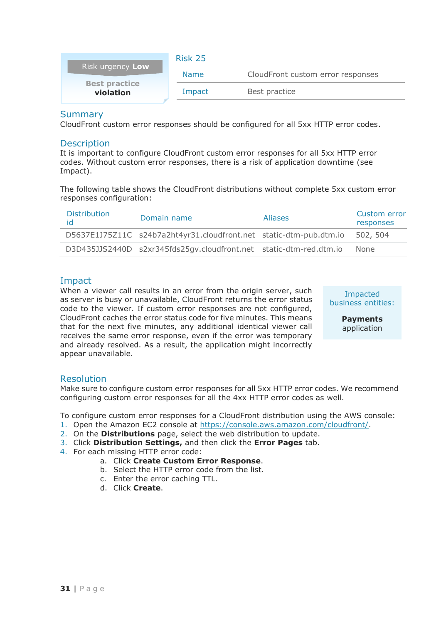<span id="page-31-0"></span>

| <b>Risk urgency Low</b>           | Risk 25     |                                   |
|-----------------------------------|-------------|-----------------------------------|
|                                   | <b>Name</b> | CloudFront custom error responses |
| <b>Best practice</b><br>violation | Impact      | Best practice                     |

CloudFront custom error responses should be configured for all 5xx HTTP error codes.

#### **Description**

It is important to configure CloudFront custom error responses for all 5xx HTTP error codes. Without custom error responses, there is a risk of application downtime (see Impact).

The following table shows the CloudFront distributions without complete 5xx custom error responses configuration:

| <b>Distribution</b><br>id | Domain name                                                        | <b>Aliases</b> | Custom error<br>responses |
|---------------------------|--------------------------------------------------------------------|----------------|---------------------------|
|                           | D5637E1J75Z11C s24b7a2ht4yr31.cloudfront.net static-dtm-pub.dtm.io |                | 502, 504                  |
|                           | D3D435JJS2440D s2xr345fds25qv.cloudfront.net static-dtm-red.dtm.io |                | None                      |

## Impact

When a viewer call results in an error from the origin server, such as server is busy or unavailable, CloudFront returns the error status code to the viewer. If custom error responses are not configured, CloudFront caches the error status code for five minutes. This means that for the next five minutes, any additional identical viewer call receives the same error response, even if the error was temporary and already resolved. As a result, the application might incorrectly appear unavailable.

Impacted business entities:

> **Payments**  application

#### Resolution

Make sure to configure custom error responses for all 5xx HTTP error codes. We recommend configuring custom error responses for all the 4xx HTTP error codes as well.

To configure custom error responses for a CloudFront distribution using the AWS console:

- 1. Open the Amazon EC2 console at [https://console.aws.amazon.com/cloudfront/.](https://console.aws.amazon.com/cloudfront/)
- 2. On the **Distributions** page, select the web distribution to update.
- 3. Click **Distribution Settings,** and then click the **Error Pages** tab.
- 4. For each missing HTTP error code:
	- a. Click **Create Custom Error Response**.
	- b. Select the HTTP error code from the list.
	- c. Enter the error caching TTL.
	- d. Click **Create**.